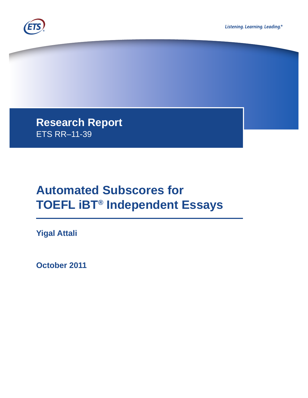



**Research Report**  ETS RR–11-39

# **Automated Subscores for TOEFL iBT® Independent Essays**

**Yigal Attali**

**October 2011**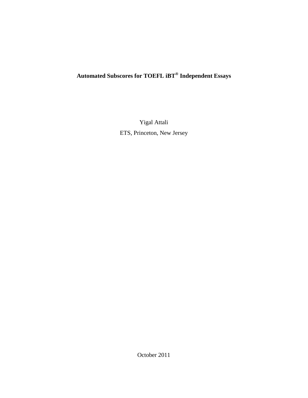# **Automated Subscores for TOEFL iBT® Independent Essays**

Yigal Attali ETS, Princeton, New Jersey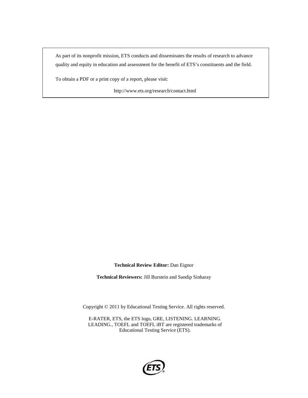As part of its nonprofit mission, ETS conducts and disseminates the results of research to advance quality and equity in education and assessment for the benefit of ETS's constituents and the field.

To obtain a PDF or a print copy of a report, please visit:

http://www.ets.org/research/contact.html

**Technical Review Editor:** Dan Eignor

**Technical Reviewers:** Jill Burstein and Sandip Sinharay

Copyright © 2011 by Educational Testing Service. All rights reserved.

E-RATER, ETS, the ETS logo, GRE, LISTENING. LEARNING. LEADING., TOEFL and TOEFL iBT are registered trademarks of Educational Testing Service (ETS).

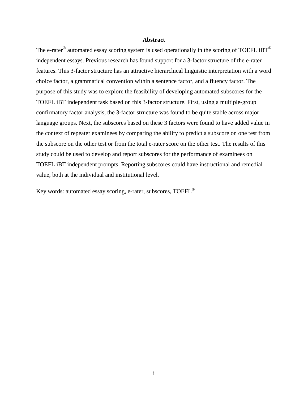### **Abstract**

The e-rater<sup>®</sup> automated essay scoring system is used operationally in the scoring of TOEFL iBT<sup>®</sup> independent essays. Previous research has found support for a 3-factor structure of the e-rater features. This 3-factor structure has an attractive hierarchical linguistic interpretation with a word choice factor, a grammatical convention within a sentence factor, and a fluency factor. The purpose of this study was to explore the feasibility of developing automated subscores for the TOEFL iBT independent task based on this 3-factor structure. First, using a multiple-group confirmatory factor analysis, the 3-factor structure was found to be quite stable across major language groups. Next, the subscores based on these 3 factors were found to have added value in the context of repeater examinees by comparing the ability to predict a subscore on one test from the subscore on the other test or from the total e-rater score on the other test. The results of this study could be used to develop and report subscores for the performance of examinees on TOEFL iBT independent prompts. Reporting subscores could have instructional and remedial value, both at the individual and institutional level.

Key words: automated essay scoring, e-rater, subscores, TOEFL®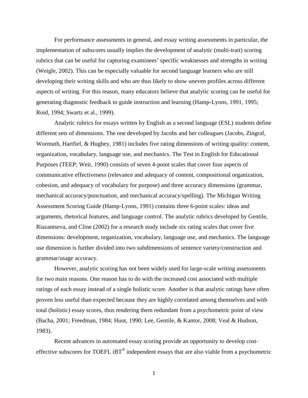For performance assessments in general, and essay writing assessments in particular, the implementation of subscores usually implies the development of analytic (multi-trait) scoring rubrics that can be useful for capturing examinees' specific weaknesses and strengths in writing (Weigle, 2002). This can be especially valuable for second language learners who are still developing their writing skills and who are thus likely to show uneven profiles across different aspects of writing. For this reason, many educators believe that analytic scoring can be useful for generating diagnostic feedback to guide instruction and learning (Hamp-Lyons, 1991, 1995; Roid, 1994; Swartz et al., 1999).

Analytic rubrics for essays written by English as a second language (ESL) students define different sets of dimensions. The one developed by Jacobs and her colleagues (Jacobs, Zingraf, Wormuth, Hartfiel, & Hughey, 1981) includes five rating dimensions of writing quality: content, organization, vocabulary, language use, and mechanics. The Test in English for Educational Purposes (TEEP; Weir, 1990) consists of seven 4-point scales that cover four aspects of communicative effectiveness (relevance and adequacy of content, compositional organization, cohesion, and adequacy of vocabulary for purpose) and three accuracy dimensions (grammar, mechanical accuracy/punctuation, and mechanical accuracy/spelling). The Michigan Writing Assessment Scoring Guide (Hamp-Lyons, 1991) contains three 6-point scales: ideas and arguments, rhetorical features, and language control. The analytic rubrics developed by Gentile, Riazantseva, and Cline (2002) for a research study include six rating scales that cover five dimensions: development, organization, vocabulary, language use, and mechanics. The language use dimension is further divided into two subdimensions of sentence variety/construction and grammar/usage accuracy.

However, analytic scoring has not been widely used for large-scale writing assessments for two main reasons. One reason has to do with the increased cost associated with multiple ratings of each essay instead of a single holistic score. Another is that analytic ratings have often proven less useful than expected because they are highly correlated among themselves and with total (holistic) essay scores, thus rendering them redundant from a psychometric point of view (Bacha, 2001; Freedman, 1984; Huot, 1990; Lee, Gentile, & Kantor, 2008; Veal & Hudson, 1983).

Recent advances in automated essay scoring provide an opportunity to develop costeffective subscores for TOEFL  $iBT^{\circledast}$  independent essays that are also viable from a psychometric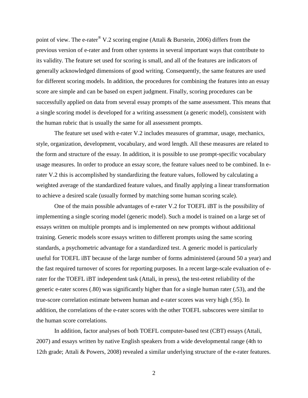point of view. The e-rater<sup>®</sup> V.2 scoring engine (Attali & Burstein, 2006) differs from the previous version of e-rater and from other systems in several important ways that contribute to its validity. The feature set used for scoring is small, and all of the features are indicators of generally acknowledged dimensions of good writing. Consequently, the same features are used for different scoring models. In addition, the procedures for combining the features into an essay score are simple and can be based on expert judgment. Finally, scoring procedures can be successfully applied on data from several essay prompts of the same assessment. This means that a single scoring model is developed for a writing assessment (a generic model), consistent with the human rubric that is usually the same for all assessment prompts.

The feature set used with e-rater V.2 includes measures of grammar, usage, mechanics, style, organization, development, vocabulary, and word length. All these measures are related to the form and structure of the essay. In addition, it is possible to use prompt-specific vocabulary usage measures. In order to produce an essay score, the feature values need to be combined. In erater V.2 this is accomplished by standardizing the feature values, followed by calculating a weighted average of the standardized feature values, and finally applying a linear transformation to achieve a desired scale (usually formed by matching some human scoring scale).

One of the main possible advantages of e-rater V.2 for TOEFL iBT is the possibility of implementing a single scoring model (generic model). Such a model is trained on a large set of essays written on multiple prompts and is implemented on new prompts without additional training. Generic models score essays written to different prompts using the same scoring standards, a psychometric advantage for a standardized test. A generic model is particularly useful for TOEFL iBT because of the large number of forms administered (around 50 a year) and the fast required turnover of scores for reporting purposes. In a recent large-scale evaluation of erater for the TOEFL iBT independent task (Attali, in press), the test-retest reliability of the generic e-rater scores (.80) was significantly higher than for a single human rater (.53), and the true-score correlation estimate between human and e-rater scores was very high (.95). In addition, the correlations of the e-rater scores with the other TOEFL subscores were similar to the human score correlations.

In addition, factor analyses of both TOEFL computer-based test (CBT) essays (Attali, 2007) and essays written by native English speakers from a wide developmental range (4th to 12th grade; Attali & Powers, 2008) revealed a similar underlying structure of the e-rater features.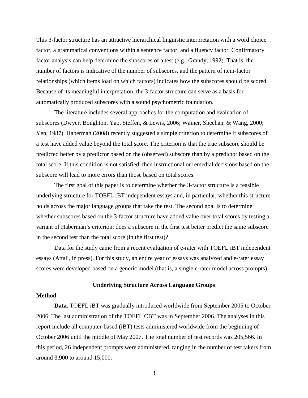This 3-factor structure has an attractive hierarchical linguistic interpretation with a word choice factor, a grammatical conventions within a sentence factor, and a fluency factor. Confirmatory factor analysis can help determine the subscores of a test (e.g., Grandy, 1992). That is, the number of factors is indicative of the number of subscores, and the pattern of item-factor relationships (which items load on which factors) indicates how the subscores should be scored. Because of its meaningful interpretation, the 3-factor structure can serve as a basis for automatically produced subscores with a sound psychometric foundation.

The literature includes several approaches for the computation and evaluation of subscores (Dwyer, Boughton, Yao, Steffen, & Lewis, 2006; Wainer, Sheehan, & Wang, 2000; Yen, 1987). Haberman (2008) recently suggested a simple criterion to determine if subscores of a test have added value beyond the total score. The criterion is that the true subscore should be predicted better by a predictor based on the (observed) subscore than by a predictor based on the total score. If this condition is not satisfied, then instructional or remedial decisions based on the subscore will lead to more errors than those based on total scores.

The first goal of this paper is to determine whether the 3-factor structure is a feasible underlying structure for TOEFL iBT independent essays and, in particular, whether this structure holds across the major language groups that take the test. The second goal is to determine whether subscores based on the 3-factor structure have added value over total scores by testing a variant of Haberman's criterion: does a subscore in the first test better predict the same subscore in the second test than the total score (in the first test)?

Data for the study came from a recent evaluation of e-rater with TOEFL iBT independent essays (Attali, in press). For this study, an entire year of essays was analyzed and e-rater essay scores were developed based on a generic model (that is, a single e-rater model across prompts).

# **Underlying Structure Across Language Groups**

# **Method**

**Data.** TOEFL iBT was gradually introduced worldwide from September 2005 to October 2006. The last administration of the TOEFL CBT was in September 2006. The analyses in this report include all computer-based (iBT) tests administered worldwide from the beginning of October 2006 until the middle of May 2007. The total number of test records was 205,566. In this period, 26 independent prompts were administered, ranging in the number of test takers from around 3,900 to around 15,000.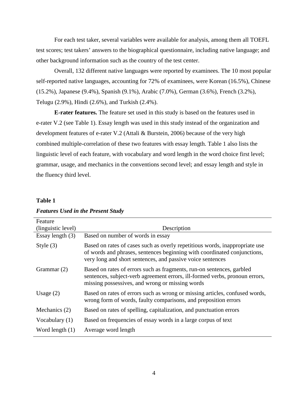For each test taker, several variables were available for analysis, among them all TOEFL test scores; test takers' answers to the biographical questionnaire, including native language; and other background information such as the country of the test center.

Overall, 132 different native languages were reported by examinees. The 10 most popular self-reported native languages, accounting for 72% of examinees, were Korean (16.5%), Chinese (15.2%), Japanese (9.4%), Spanish (9.1%), Arabic (7.0%), German (3.6%), French (3.2%), Telugu (2.9%), Hindi (2.6%), and Turkish (2.4%).

**E-rater features.** The feature set used in this study is based on the features used in e-rater V.2 (see [Table 1\)](#page-7-0). Essay length was used in this study instead of the organization and development features of e-rater V.2 (Attali & Burstein, 2006) because of the very high combined multiple-correlation of these two features with essay length. [Table 1](#page-7-0) also lists the linguistic level of each feature, with vocabulary and word length in the word choice first level; grammar, usage, and mechanics in the conventions second level; and essay length and style in the fluency third level.

# <span id="page-7-0"></span>**Table 1**

| Feature            |                                                                                                                                                                                                                       |
|--------------------|-----------------------------------------------------------------------------------------------------------------------------------------------------------------------------------------------------------------------|
| (linguistic level) | Description                                                                                                                                                                                                           |
| Essay length $(3)$ | Based on number of words in essay                                                                                                                                                                                     |
| Style $(3)$        | Based on rates of cases such as overly repetitious words, inappropriate use<br>of words and phrases, sentences beginning with coordinated conjunctions,<br>very long and short sentences, and passive voice sentences |
| Grammar $(2)$      | Based on rates of errors such as fragments, run-on sentences, garbled<br>sentences, subject-verb agreement errors, ill-formed verbs, pronoun errors,<br>missing possessives, and wrong or missing words               |
| Usage $(2)$        | Based on rates of errors such as wrong or missing articles, confused words,<br>wrong form of words, faulty comparisons, and preposition errors                                                                        |
| Mechanics (2)      | Based on rates of spelling, capitalization, and punctuation errors                                                                                                                                                    |
| Vocabulary $(1)$   | Based on frequencies of essay words in a large corpus of text                                                                                                                                                         |
| Word length $(1)$  | Average word length                                                                                                                                                                                                   |

# *Features Used in the Present Study*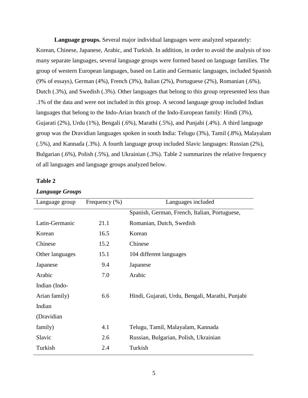**Language groups.** Several major individual languages were analyzed separately: Korean, Chinese, Japanese, Arabic, and Turkish. In addition, in order to avoid the analysis of too many separate languages, several language groups were formed based on language families. The group of western European languages, based on Latin and Germanic languages, included Spanish (9% of essays), German (4%), French (3%), Italian (2%), Portuguese (2%), Romanian (.6%), Dutch (.3%), and Swedish (.3%). Other languages that belong to this group represented less than .1% of the data and were not included in this group. A second language group included Indian languages that belong to the Indo-Arian branch of the Indo-European family: Hindi (3%), Gujarati (2%), Urdu (1%), Bengali (.6%), Marathi (.5%), and Punjabi (.4%). A third language group was the Dravidian languages spoken in south India: Telugu (3%), Tamil (.8%), Malayalam (.5%), and Kannada (.3%). A fourth language group included Slavic languages: Russian (2%), Bulgarian (.6%), Polish (.5%), and Ukrainian (.3%). Table 2 summarizes the relative frequency of all languages and language groups analyzed below.

# **Table 2**

| Language group  | Frequency $(\% )$ | Languages included                               |
|-----------------|-------------------|--------------------------------------------------|
|                 |                   | Spanish, German, French, Italian, Portuguese,    |
| Latin-Germanic  | 21.1              | Romanian, Dutch, Swedish                         |
| Korean          | 16.5              | Korean                                           |
| Chinese         | 15.2              | Chinese                                          |
| Other languages | 15.1              | 104 different languages                          |
| Japanese        | 9.4               | Japanese                                         |
| Arabic          | 7.0               | Arabic                                           |
| Indian (Indo-   |                   |                                                  |
| Arian family)   | 6.6               | Hindi, Gujarati, Urdu, Bengali, Marathi, Punjabi |
| Indian          |                   |                                                  |
| (Dravidian      |                   |                                                  |
| family)         | 4.1               | Telugu, Tamil, Malayalam, Kannada                |
| Slavic          | 2.6               | Russian, Bulgarian, Polish, Ukrainian            |
| Turkish         | 2.4               | Turkish                                          |

# *Language Groups*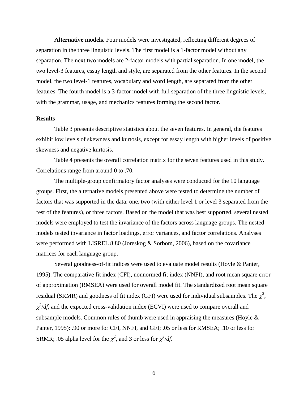**Alternative models.** Four models were investigated, reflecting different degrees of separation in the three linguistic levels. The first model is a 1-factor model without any separation. The next two models are 2-factor models with partial separation. In one model, the two level-3 features, essay length and style, are separated from the other features. In the second model, the two level-1 features, vocabulary and word length, are separated from the other features. The fourth model is a 3-factor model with full separation of the three linguistic levels, with the grammar, usage, and mechanics features forming the second factor.

# **Results**

Table 3 presents descriptive statistics about the seven features. In general, the features exhibit low levels of skewness and kurtosis, except for essay length with higher levels of positive skewness and negative kurtosis.

Table 4 presents the overall correlation matrix for the seven features used in this study. Correlations range from around 0 to .70.

The multiple-group confirmatory factor analyses were conducted for the 10 language groups. First, the alternative models presented above were tested to determine the number of factors that was supported in the data: one, two (with either level 1 or level 3 separated from the rest of the features), or three factors. Based on the model that was best supported, several nested models were employed to test the invariance of the factors across language groups. The nested models tested invariance in factor loadings, error variances, and factor correlations. Analyses were performed with LISREL 8.80 (Joreskog & Sorbom, 2006), based on the covariance matrices for each language group.

Several goodness-of-fit indices were used to evaluate model results (Hoyle & Panter, 1995). The comparative fit index (CFI), nonnormed fit index (NNFI), and root mean square error of approximation (RMSEA) were used for overall model fit. The standardized root mean square residual (SRMR) and goodness of fit index (GFI) were used for individual subsamples. The  $\chi^2$ ,  $\chi^2/df$ , and the expected cross-validation index (ECVI) were used to compare overall and subsample models. Common rules of thumb were used in appraising the measures (Hoyle & Panter, 1995): .90 or more for CFI, NNFI, and GFI; .05 or less for RMSEA; .10 or less for SRMR; .05 alpha level for the  $\chi^2$ , and 3 or less for  $\chi^2/df$ .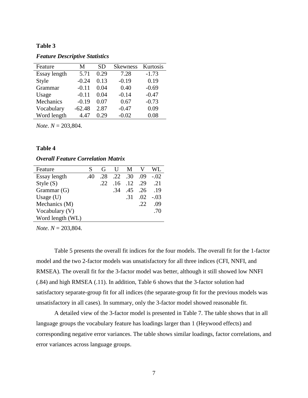*Feature Descriptive Statistics* 

| Feature      | М        | <b>SD</b> | <b>Skewness</b> | Kurtosis |
|--------------|----------|-----------|-----------------|----------|
| Essay length | 5.71     | 0.29      | 7.28            | $-1.73$  |
| Style        | $-0.24$  | 0.13      | $-0.19$         | 0.19     |
| Grammar      | $-0.11$  | 0.04      | 0.40            | $-0.69$  |
| Usage        | $-0.11$  | 0.04      | $-0.14$         | $-0.47$  |
| Mechanics    | $-0.19$  | 0.07      | 0.67            | $-0.73$  |
| Vocabulary   | $-62.48$ | 2.87      | $-0.47$         | 0.09     |
| Word length  | 4.47     | 0.29      | $-0.02$         | 0.08     |

*Note*. *N* = 203,804.

#### **Table 4**

# *Overall Feature Correlation Matrix*

| Feature          | S   | G   | $\mathbf{U}$ | M                         |     | WL     |
|------------------|-----|-----|--------------|---------------------------|-----|--------|
| Essay length     | .40 | .28 |              | $.22 \quad .30 \quad .09$ |     | $-.02$ |
| Style $(S)$      |     | .22 |              | $.16$ $.12$ $.29$         |     | .21    |
| Grammar $(G)$    |     |     | .34          | .45 .26                   |     | .19    |
| Usage $(U)$      |     |     |              | .31                       | .02 | $-.03$ |
| Mechanics (M)    |     |     |              |                           | .22 | .09    |
| Vocabulary $(V)$ |     |     |              |                           |     | .70    |
| Word length (WL) |     |     |              |                           |     |        |

*Note*. *N* = 203,804.

Table 5 presents the overall fit indices for the four models. The overall fit for the 1-factor model and the two 2-factor models was unsatisfactory for all three indices (CFI, NNFI, and RMSEA). The overall fit for the 3-factor model was better, although it still showed low NNFI (.84) and high RMSEA (.11). In addition, [Table 6](#page-11-0) shows that the 3-factor solution had satisfactory separate-group fit for all indices (the separate-group fit for the previous models was unsatisfactory in all cases). In summary, only the 3-factor model showed reasonable fit.

A detailed view of the 3-factor model is presented in Table 7. The table shows that in all language groups the vocabulary feature has loadings larger than 1 (Heywood effects) and corresponding negative error variances. The table shows similar loadings, factor correlations, and error variances across language groups.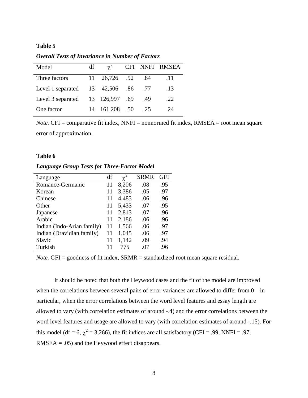*Overall Tests of Invariance in Number of Factors*

| Model                               | df |                |         | CFI NNFI RMSEA |
|-------------------------------------|----|----------------|---------|----------------|
| Three factors                       |    | 11 26,726 .92  | .84     | .11            |
| Level 1 separated $13 \quad 42,506$ |    |                | .86 .77 | .13            |
| Level 3 separated 13 126,997 .69    |    |                | .49     | .22            |
| One factor                          |    | 14 161,208 .50 | .25     | 24             |

*Note.* CFI = comparative fit index, NNFI = nonnormed fit index, RMSEA = root mean square error of approximation.

# <span id="page-11-0"></span>**Table 6**

*Language Group Tests for Three-Factor Model* 

| Language                   | df |       | <b>SRMR</b> | GFI |
|----------------------------|----|-------|-------------|-----|
| Romance-Germanic           | 11 | 8,206 | .08         | .95 |
| Korean                     | 11 | 3,386 | .05         | .97 |
| Chinese                    | 11 | 4,483 | .06         | .96 |
| Other                      | 11 | 5,433 | .07         | .95 |
| Japanese                   | 11 | 2,813 | .07         | .96 |
| Arabic                     | 11 | 2,186 | .06         | .96 |
| Indian (Indo-Arian family) | 11 | 1,566 | .06         | .97 |
| Indian (Dravidian family)  | 11 | 1,045 | .06         | .97 |
| Slavic                     | 11 | 1,142 | .09         | .94 |
| Turkish                    |    | 775   | .07         | .96 |

*Note.* GFI = goodness of fit index, SRMR = standardized root mean square residual.

It should be noted that both the Heywood cases and the fit of the model are improved when the correlations between several pairs of error variances are allowed to differ from 0—in particular, when the error correlations between the word level features and essay length are allowed to vary (with correlation estimates of around -.4) and the error correlations between the word level features and usage are allowed to vary (with correlation estimates of around -.15). For this model (df = 6,  $\chi^2$  = 3,266), the fit indices are all satisfactory (CFI = .99, NNFI = .97,  $RMSEA = .05$ ) and the Heywood effect disappears.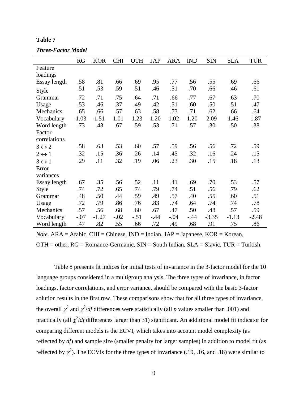| <b>Three-Factor Model</b> |  |
|---------------------------|--|
|---------------------------|--|

|                       | RG     | <b>KOR</b> | <b>CHI</b> | <b>OTH</b> | <b>JAP</b> | <b>ARA</b> | <b>IND</b> | <b>SIN</b> | <b>SLA</b> | <b>TUR</b> |
|-----------------------|--------|------------|------------|------------|------------|------------|------------|------------|------------|------------|
| Feature               |        |            |            |            |            |            |            |            |            |            |
| loadings              |        |            |            |            |            |            |            |            |            |            |
| Essay length          | .58    | .81        | .66        | .69        | .95        | .77        | .56        | .55        | .69        | .66        |
| Style                 | .51    | .53        | .59        | .51        | .46        | .51        | .70        | .66        | .46        | .61        |
| Grammar               | .72    | .71        | .75        | .64        | .71        | .66        | .77        | .67        | .63        | .70        |
| Usage                 | .53    | .46        | .37        | .49        | .42        | .51        | .60        | .50        | .51        | .47        |
| Mechanics             | .65    | .66        | .57        | .63        | .58        | .73        | .71        | .62        | .66        | .64        |
| Vocabulary            | 1.03   | 1.51       | 1.01       | 1.23       | 1.20       | 1.02       | 1.20       | 2.09       | 1.46       | 1.87       |
| Word length           | .73    | .43        | .67        | .59        | .53        | .71        | .57        | .30        | .50        | .38        |
| Factor                |        |            |            |            |            |            |            |            |            |            |
| correlations          |        |            |            |            |            |            |            |            |            |            |
| $3 \leftrightarrow 2$ | .58    | .63        | .53        | .60        | .57        | .59        | .56        | .56        | .72        | .59        |
| $2 \leftrightarrow 1$ | .32    | .15        | .36        | .26        | .14        | .45        | .32        | .16        | .24        | .15        |
| $3 \leftrightarrow 1$ | .29    | .11        | .32        | .19        | .06        | .23        | .30        | .15        | .18        | .13        |
| Error                 |        |            |            |            |            |            |            |            |            |            |
| variances             |        |            |            |            |            |            |            |            |            |            |
| Essay length          | .67    | .35        | .56        | .52        | .11        | .41        | .69        | .70        | .53        | .57        |
| Style                 | .74    | .72        | .65        | .74        | .79        | .74        | .51        | .56        | .79        | .62        |
| Grammar               | .48    | .50        | .44        | .59        | .49        | .57        | .40        | .55        | .60        | .51        |
| Usage                 | .72    | .79        | .86        | .76        | .83        | .74        | .64        | .74        | .74        | .78        |
| Mechanics             | .57    | .56        | .68        | .60        | .67        | .47        | .50        | .48        | .57        | .59        |
| Vocabulary            | $-.07$ | $-1.27$    | $-.02$     | $-.51$     | $-.44$     | $-.04$     | $-.44$     | $-3.35$    | $-1.13$    | $-2.48$    |
| Word length           | .47    | .82        | .55        | .66        | .72        | .49        | .68        | .91        | .75        | .86        |

*Note.*  $ARA = Arabic$ ,  $CHI = Chinese$ ,  $IND = Indian$ ,  $JAP = Japanese$ ,  $KOR = Korean$ ,  $OTH = other$ ,  $RG = Romance-Germanic$ ,  $SIN = South Indian$ ,  $SLA = Slavic$ ,  $TUR = Turkish$ .

Table 8 presents fit indices for initial tests of invariance in the 3-factor model for the 10 language groups considered in a multigroup analysis. The three types of invariance, in factor loadings, factor correlations, and error variance, should be compared with the basic 3-factor solution results in the first row. These comparisons show that for all three types of invariance, the overall  $\chi^2$  and  $\chi^2/df$  differences were statistically (all *p* values smaller than .001) and practically (all <sup>χ</sup> 2 /*df* differences larger than 31) significant. An additional model fit indicator for comparing different models is the ECVI, which takes into account model complexity (as reflected by *df*) and sample size (smaller penalty for larger samples) in addition to model fit (as reflected by  $\chi^2$ ). The ECVIs for the three types of invariance (.19, .16, and .18) were similar to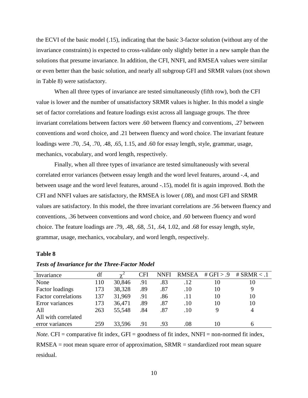the ECVI of the basic model (.15), indicating that the basic 3-factor solution (without any of the invariance constraints) is expected to cross-validate only slightly better in a new sample than the solutions that presume invariance. In addition, the CFI, NNFI, and RMSEA values were similar or even better than the basic solution, and nearly all subgroup GFI and SRMR values (not shown in Table 8) were satisfactory.

When all three types of invariance are tested simultaneously (fifth row), both the CFI value is lower and the number of unsatisfactory SRMR values is higher. In this model a single set of factor correlations and feature loadings exist across all language groups. The three invariant correlations between factors were .60 between fluency and conventions, .27 between conventions and word choice, and .21 between fluency and word choice. The invariant feature loadings were .70, .54, .70, .48, .65, 1.15, and .60 for essay length, style, grammar, usage, mechanics, vocabulary, and word length, respectively.

Finally, when all three types of invariance are tested simultaneously with several correlated error variances (between essay length and the word level features, around -.4, and between usage and the word level features, around -.15), model fit is again improved. Both the CFI and NNFI values are satisfactory, the RMSEA is lower (.08), and most GFI and SRMR values are satisfactory. In this model, the three invariant correlations are .56 between fluency and conventions, .36 between conventions and word choice, and .60 between fluency and word choice. The feature loadings are .79, .48, .68, .51, .64, 1.02, and .68 for essay length, style, grammar, usage, mechanics, vocabulary, and word length, respectively.

#### **Table 8**

| Invariance                 | df  |        | CFI | <b>NNFI</b> | <b>RMSEA</b> | # GFI $> .9$ | # $SRMR < .1$ |
|----------------------------|-----|--------|-----|-------------|--------------|--------------|---------------|
| None                       | 110 | 30,846 | .91 | .83         | .12          | 10           | 10            |
| Factor loadings            | 173 | 38,328 | .89 | .87         | .10          | 10           |               |
| <b>Factor correlations</b> | 137 | 31,969 | .91 | .86         | .11          | 10           | 10            |
| Error variances            | 173 | 36,471 | .89 | .87         | .10          | 10           | 10            |
| All                        | 263 | 55,548 | .84 | .87         | .10          |              |               |
| All with correlated        |     |        |     |             |              |              |               |
| error variances            | 259 | 33,596 | .91 | .93         | $.08\,$      | 10           |               |

### *Tests of Invariance for the Three-Factor Model*

*Note.* CFI = comparative fit index, GFI = goodness of fit index, NNFI = non-normed fit index, RMSEA = root mean square error of approximation, SRMR = standardized root mean square residual.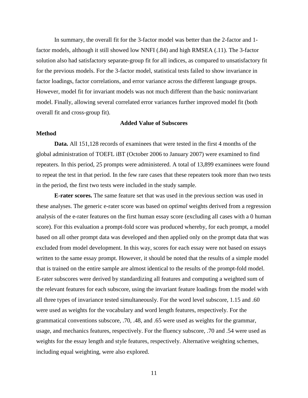In summary, the overall fit for the 3-factor model was better than the 2-factor and 1 factor models, although it still showed low NNFI (.84) and high RMSEA (.11). The 3-factor solution also had satisfactory separate-group fit for all indices, as compared to unsatisfactory fit for the previous models. For the 3-factor model, statistical tests failed to show invariance in factor loadings, factor correlations, and error variance across the different language groups. However, model fit for invariant models was not much different than the basic noninvariant model. Finally, allowing several correlated error variances further improved model fit (both overall fit and cross-group fit).

#### **Added Value of Subscores**

# **Method**

**Data.** All 151,128 records of examinees that were tested in the first 4 months of the global administration of TOEFL iBT (October 2006 to January 2007) were examined to find repeaters. In this period, 25 prompts were administered. A total of 13,899 examinees were found to repeat the test in that period. In the few rare cases that these repeaters took more than two tests in the period, the first two tests were included in the study sample.

**E-rater scores.** The same feature set that was used in the previous section was used in these analyses. The generic e-rater score was based on *optimal* weights derived from a regression analysis of the e-rater features on the first human essay score (excluding all cases with a 0 human score). For this evaluation a prompt-fold score was produced whereby, for each prompt, a model based on all other prompt data was developed and then applied only on the prompt data that was excluded from model development. In this way, scores for each essay were not based on essays written to the same essay prompt. However, it should be noted that the results of a simple model that is trained on the entire sample are almost identical to the results of the prompt-fold model. E-rater subscores were derived by standardizing all features and computing a weighted sum of the relevant features for each subscore, using the invariant feature loadings from the model with all three types of invariance tested simultaneously. For the word level subscore, 1.15 and .60 were used as weights for the vocabulary and word length features, respectively. For the grammatical conventions subscore, .70, .48, and .65 were used as weights for the grammar, usage, and mechanics features, respectively. For the fluency subscore, .70 and .54 were used as weights for the essay length and style features, respectively. Alternative weighting schemes, including equal weighting, were also explored.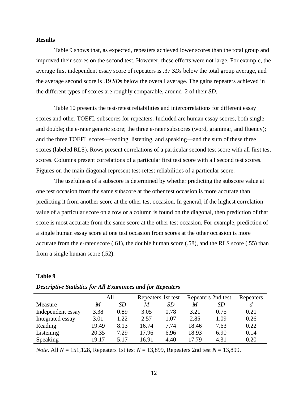# **Results**

Table 9 shows that, as expected, repeaters achieved lower scores than the total group and improved their scores on the second test. However, these effects were not large. For example, the average first independent essay score of repeaters is .37 *SD*s below the total group average, and the average second score is .19 *SD*s below the overall average. The gains repeaters achieved in the different types of scores are roughly comparable, around .2 of their *SD*.

Table 10 presents the test-retest reliabilities and intercorrelations for different essay scores and other TOEFL subscores for repeaters. Included are human essay scores, both single and double; the e-rater generic score; the three e-rater subscores (word, grammar, and fluency); and the three TOEFL scores—reading, listening, and speaking—and the sum of these three scores (labeled RLS). Rows present correlations of a particular second test score with all first test scores. Columns present correlations of a particular first test score with all second test scores. Figures on the main diagonal represent test-retest reliabilities of a particular score.

The usefulness of a subscore is determined by whether predicting the subscore value at one test occasion from the same subscore at the other test occasion is more accurate than predicting it from another score at the other test occasion. In general, if the highest correlation value of a particular score on a row or a column is found on the diagonal, then prediction of that score is most accurate from the same score at the other test occasion. For example, prediction of a single human essay score at one test occasion from scores at the other occasion is more accurate from the e-rater score (.61), the double human score (.58), and the RLS score (.55) than from a single human score (.52).

#### **Table 9**

|                   | All   |      | Repeaters 1st test |      | Repeaters 2nd test | Repeaters |      |
|-------------------|-------|------|--------------------|------|--------------------|-----------|------|
| Measure           | M     | SD   | M                  | SD   | M                  | <i>SD</i> |      |
| Independent essay | 3.38  | 0.89 | 3.05               | 0.78 | 3.21               | 0.75      | 0.21 |
| Integrated essay  | 3.01  | 1.22 | 2.57               | 1.07 | 2.85               | 1.09      | 0.26 |
| Reading           | 19.49 | 8.13 | 16.74              | 7.74 | 18.46              | 7.63      | 0.22 |
| Listening         | 20.35 | 7.29 | 17.96              | 6.96 | 18.93              | 6.90      | 0.14 |
| Speaking          | 19.17 | 5.17 | 16.91              | 4.40 | 17.79              | 4.31      | 0.20 |

#### *Descriptive Statistics for All Examinees and for Repeaters*

*Note*. All *N* = 151,128, Repeaters 1st test *N* = 13,899, Repeaters 2nd test *N* = 13,899.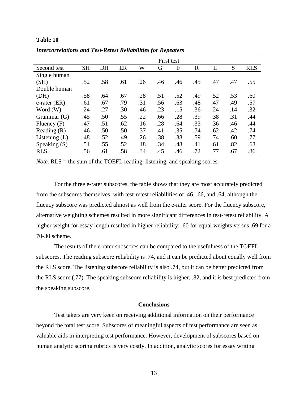|                 | First test |     |     |     |     |     |              |     |     |            |
|-----------------|------------|-----|-----|-----|-----|-----|--------------|-----|-----|------------|
| Second test     | <b>SH</b>  | DH  | ER  | W   | G   | F   | $\mathbb{R}$ |     | S   | <b>RLS</b> |
| Single human    |            |     |     |     |     |     |              |     |     |            |
| (SH)            | .52        | .58 | .61 | .26 | .46 | .46 | .45          | .47 | .47 | .55        |
| Double human    |            |     |     |     |     |     |              |     |     |            |
| (DH)            | .58        | .64 | .67 | .28 | .51 | .52 | .49          | .52 | .53 | .60        |
| e-rater (ER)    | .61        | .67 | .79 | .31 | .56 | .63 | .48          | .47 | .49 | .57        |
| Word (W)        | .24        | .27 | .30 | .46 | .23 | .15 | .36          | .24 | .14 | .32        |
| Grammar $(G)$   | .45        | .50 | .55 | .22 | .66 | .28 | .39          | .38 | .31 | .44        |
| Fluency $(F)$   | .47        | .51 | .62 | .16 | .28 | .64 | .33          | .36 | .46 | .44        |
| Reading $(R)$   | .46        | .50 | .50 | .37 | .41 | .35 | .74          | .62 | .42 | .74        |
| Listening $(L)$ | .48        | .52 | .49 | .26 | .38 | .38 | .59          | .74 | .60 | .77        |
| Speaking $(S)$  | .51        | .55 | .52 | .18 | .34 | .48 | .41          | .61 | .82 | .68        |
| <b>RLS</b>      | .56        | .61 | .58 | .34 | .45 | .46 | .72          | .77 | .67 | .86        |

*Intercorrelations and Test-Retest Reliabilities for Repeaters*

*Note.* RLS = the sum of the TOEFL reading, listening, and speaking scores.

For the three e-rater subscores, the table shows that they are most accurately predicted from the subscores themselves, with test-retest reliabilities of .46, .66, and .64, although the fluency subscore was predicted almost as well from the e-rater score. For the fluency subscore, alternative weighting schemes resulted in more significant differences in test-retest reliability. A higher weight for essay length resulted in higher reliability: .60 for equal weights versus .69 for a 70-30 scheme.

The results of the e-rater subscores can be compared to the usefulness of the TOEFL subscores. The reading subscore reliability is .74, and it can be predicted about equally well from the RLS score. The listening subscore reliability is also .74, but it can be better predicted from the RLS score (.77). The speaking subscore reliability is higher, .82, and it is best predicted from the speaking subscore.

# **Conclusions**

Test takers are very keen on receiving additional information on their performance beyond the total test score. Subscores of meaningful aspects of test performance are seen as valuable aids in interpreting test performance. However, development of subscores based on human analytic scoring rubrics is very costly. In addition, analytic scores for essay writing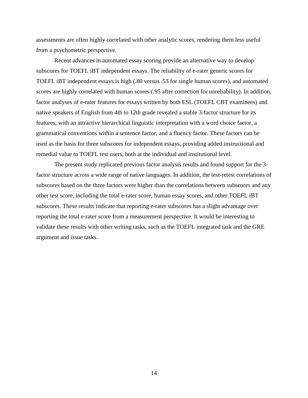assessments are often highly correlated with other analytic scores, rendering them less useful from a psychometric perspective.

Recent advances in automated essay scoring provide an alternative way to develop subscores for TOEFL iBT independent essays. The reliability of e-rater generic scores for TOEFL iBT independent essays is high (.80 versus .53 for single human scores), and automated scores are highly correlated with human scores (.95 after correction for unreliability). In addition, factor analyses of e-rater features for essays written by both ESL (TOEFL CBT examinees) and native speakers of English from 4th to 12th grade revealed a stable 3-factor structure for its features, with an attractive hierarchical linguistic interpretation with a word choice factor, a grammatical conventions within a sentence factor, and a fluency factor. These factors can be used as the basis for three subscores for independent essays, providing added instructional and remedial value to TOEFL test users, both at the individual and institutional level.

The present study replicated previous factor analysis results and found support for the 3 factor structure across a wide range of native languages. In addition, the test-retest correlations of subscores based on the three factors were higher than the correlations between subscores and any other test score, including the total e-rater score, human essay scores, and other TOEFL iBT subscores. These results indicate that reporting e-rater subscores has a slight advantage over reporting the total e-rater score from a measurement perspective. It would be interesting to validate these results with other writing tasks, such as the TOEFL integrated task and the GRE argument and issue tasks.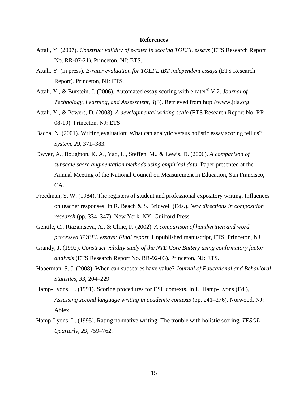### **References**

- Attali, Y. (2007). *Construct validity of e-rater in scoring TOEFL essays* (ETS Research Report No. RR-07-21). Princeton, NJ: ETS.
- Attali, Y. (in press). *E-rater evaluation for TOEFL iBT independent essays* (ETS Research Report). Princeton, NJ: ETS.
- Attali, Y., & Burstein, J. (2006). Automated essay scoring with e-rater® V.2. *Journal of Technology, Learning, and Assessment, 4*(3). Retrieved from [http://www.jtla.org](http://www.jtla.org/)
- Attali, Y., & Powers, D. (2008). *A developmental writing scale* (ETS Research Report No. RR-08-19). Princeton, NJ: ETS.
- Bacha, N. (2001). Writing evaluation: What can analytic versus holistic essay scoring tell us? *System, 29*, 371–383.
- Dwyer, A., Boughton, K. A., Yao, L., Steffen, M., & Lewis, D. (2006). *A comparison of subscale score augmentation methods using empirical data.* Paper presented at the Annual Meeting of the National Council on Measurement in Education, San Francisco, CA.
- Freedman, S. W. (1984). The registers of student and professional expository writing. Influences on teacher responses. In R. Beach & S. Bridwell (Eds.), *New directions in composition research* (pp. 334–347). New York, NY: Guilford Press.
- Gentile, C., Riazantseva, A., & Cline, F. (2002). *A comparison of handwritten and word processed TOEFL essays: Final report.* Unpublished manuscript, ETS, Princeton, NJ.
- Grandy, J. (1992). *Construct validity study of the NTE Core Battery using confirmatory factor analysis* (ETS Research Report No. RR-92-03). Princeton, NJ: ETS.
- Haberman, S. J. (2008). When can subscores have value? *Journal of Educational and Behavioral Statistics, 33*, 204–229.
- Hamp-Lyons, L. (1991). Scoring procedures for ESL contexts. In L. Hamp-Lyons (Ed.), *Assessing second language writing in academic contexts* (pp. 241–276). Norwood, NJ: Ablex.
- Hamp-Lyons, L. (1995). Rating nonnative writing: The trouble with holistic scoring. *TESOL Quarterly, 29*, 759–762.